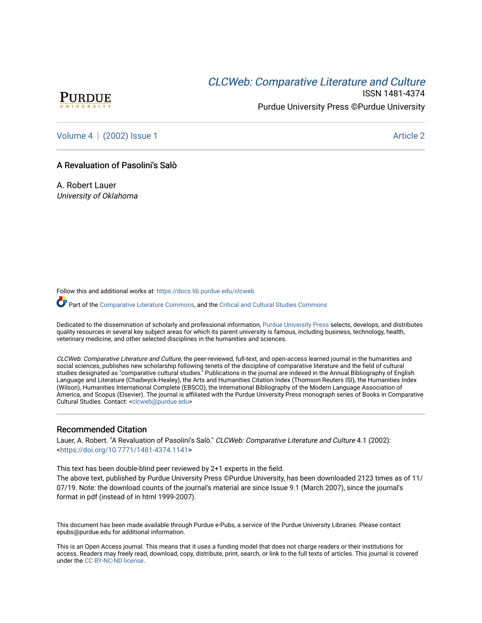# CLCW[eb: Comparative Liter](https://docs.lib.purdue.edu/clcweb)ature and Culture



ISSN 1481-4374 Purdue University Press ©Purdue University

[Volume 4](https://docs.lib.purdue.edu/clcweb/vol4) | [\(2002\) Issue 1](https://docs.lib.purdue.edu/clcweb/vol4/iss1) Article 2

## A Revaluation of Pasolini's Salò

A. Robert Lauer University of Oklahoma

Follow this and additional works at: [https://docs.lib.purdue.edu/clcweb](https://docs.lib.purdue.edu/clcweb?utm_source=docs.lib.purdue.edu%2Fclcweb%2Fvol4%2Fiss1%2F2&utm_medium=PDF&utm_campaign=PDFCoverPages)

Part of the [Comparative Literature Commons,](http://network.bepress.com/hgg/discipline/454?utm_source=docs.lib.purdue.edu%2Fclcweb%2Fvol4%2Fiss1%2F2&utm_medium=PDF&utm_campaign=PDFCoverPages) and the [Critical and Cultural Studies Commons](http://network.bepress.com/hgg/discipline/328?utm_source=docs.lib.purdue.edu%2Fclcweb%2Fvol4%2Fiss1%2F2&utm_medium=PDF&utm_campaign=PDFCoverPages) 

Dedicated to the dissemination of scholarly and professional information, [Purdue University Press](http://www.thepress.purdue.edu/) selects, develops, and distributes quality resources in several key subject areas for which its parent university is famous, including business, technology, health, veterinary medicine, and other selected disciplines in the humanities and sciences.

CLCWeb: Comparative Literature and Culture, the peer-reviewed, full-text, and open-access learned journal in the humanities and social sciences, publishes new scholarship following tenets of the discipline of comparative literature and the field of cultural studies designated as "comparative cultural studies." Publications in the journal are indexed in the Annual Bibliography of English Language and Literature (Chadwyck-Healey), the Arts and Humanities Citation Index (Thomson Reuters ISI), the Humanities Index (Wilson), Humanities International Complete (EBSCO), the International Bibliography of the Modern Language Association of America, and Scopus (Elsevier). The journal is affiliated with the Purdue University Press monograph series of Books in Comparative Cultural Studies. Contact: [<clcweb@purdue.edu](mailto:clcweb@purdue.edu)>

## Recommended Citation

Lauer, A. Robert. "A Revaluation of Pasolini's Salò." CLCWeb: Comparative Literature and Culture 4.1 (2002): <<https://doi.org/10.7771/1481-4374.1141>>

This text has been double-blind peer reviewed by 2+1 experts in the field.

The above text, published by Purdue University Press ©Purdue University, has been downloaded 2123 times as of 11/ 07/19. Note: the download counts of the journal's material are since Issue 9.1 (March 2007), since the journal's format in pdf (instead of in html 1999-2007).

This document has been made available through Purdue e-Pubs, a service of the Purdue University Libraries. Please contact epubs@purdue.edu for additional information.

This is an Open Access journal. This means that it uses a funding model that does not charge readers or their institutions for access. Readers may freely read, download, copy, distribute, print, search, or link to the full texts of articles. This journal is covered under the [CC BY-NC-ND license.](https://creativecommons.org/licenses/by-nc-nd/4.0/)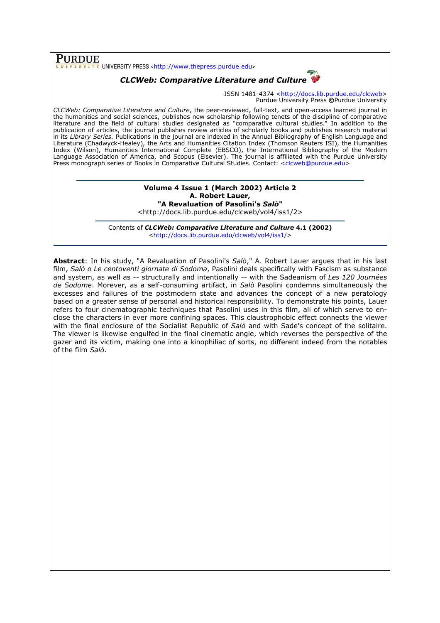# PURDUE

 $\overline{\overline{x}}$  UNIVERSITY PRESS <http://www.thepress.purdue.edu>

# CLCWeb: Comparative Literature and Culture

ISSN 1481-4374 <http://docs.lib.purdue.edu/clcweb> Purdue University Press ©Purdue University

CLCWeb: Comparative Literature and Culture, the peer-reviewed, full-text, and open-access learned journal in the humanities and social sciences, publishes new scholarship following tenets of the discipline of comparative literature and the field of cultural studies designated as "comparative cultural studies." In addition to the publication of articles, the journal publishes review articles of scholarly books and publishes research material in its Library Series. Publications in the journal are indexed in the Annual Bibliography of English Language and Literature (Chadwyck-Healey), the Arts and Humanities Citation Index (Thomson Reuters ISI), the Humanities Index (Wilson), Humanities International Complete (EBSCO), the International Bibliography of the Modern Language Association of America, and Scopus (Elsevier). The journal is affiliated with the Purdue University Press monograph series of Books in Comparative Cultural Studies. Contact: <clcweb@purdue.edu>

#### Volume 4 Issue 1 (March 2002) Article 2 A. Robert Lauer, "A Revaluation of Pasolini's Salò" <http://docs.lib.purdue.edu/clcweb/vol4/iss1/2>

Contents of CLCWeb: Comparative Literature and Culture 4.1 (2002) <http://docs.lib.purdue.edu/clcweb/vol4/iss1/>

Abstract: In his study, "A Revaluation of Pasolini's Salò," A. Robert Lauer argues that in his last film, Salò o Le centoventi giornate di Sodoma, Pasolini deals specifically with Fascism as substance and system, as well as -- structurally and intentionally -- with the Sadeanism of Les 120 Journées de Sodome. Morever, as a self-consuming artifact, in Salò Pasolini condemns simultaneously the excesses and failures of the postmodern state and advances the concept of a new peratology based on a greater sense of personal and historical responsibility. To demonstrate his points, Lauer refers to four cinematographic techniques that Pasolini uses in this film, all of which serve to enclose the characters in ever more confining spaces. This claustrophobic effect connects the viewer with the final enclosure of the Socialist Republic of Salò and with Sade's concept of the solitaire. The viewer is likewise engulfed in the final cinematic angle, which reverses the perspective of the gazer and its victim, making one into a kinophiliac of sorts, no different indeed from the notables of the film Salò.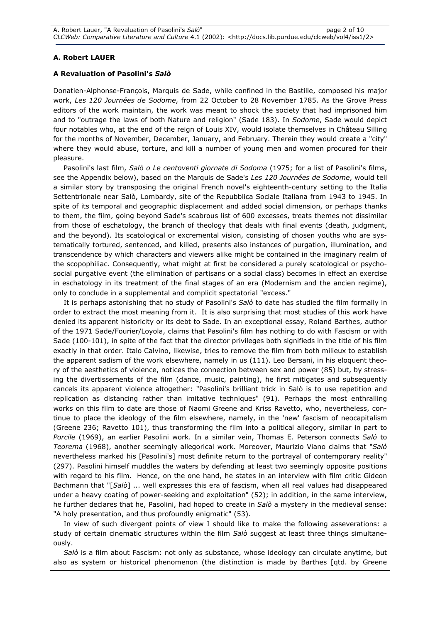## A. Robert LAUER

## A Revaluation of Pasolini's Salò

Donatien-Alphonse-François, Marquis de Sade, while confined in the Bastille, composed his major work, Les 120 Journées de Sodome, from 22 October to 28 November 1785. As the Grove Press editors of the work maintain, the work was meant to shock the society that had imprisoned him and to "outrage the laws of both Nature and religion" (Sade 183). In Sodome, Sade would depict four notables who, at the end of the reign of Louis XIV, would isolate themselves in Château Silling for the months of November, December, January, and February. Therein they would create a "city" where they would abuse, torture, and kill a number of young men and women procured for their pleasure.

Pasolini's last film, Salò o Le centoventi giornate di Sodoma (1975; for a list of Pasolini's films, see the Appendix below), based on the Marquis de Sade's Les 120 Journées de Sodome, would tell a similar story by transposing the original French novel's eighteenth-century setting to the Italia Settentrionale near Salò, Lombardy, site of the Repubblica Sociale Italiana from 1943 to 1945. In spite of its temporal and geographic displacement and added social dimension, or perhaps thanks to them, the film, going beyond Sade's scabrous list of 600 excesses, treats themes not dissimilar from those of eschatology, the branch of theology that deals with final events (death, judgment, and the beyond). Its scatological or excremental vision, consisting of chosen youths who are systematically tortured, sentenced, and killed, presents also instances of purgation, illumination, and transcendence by which characters and viewers alike might be contained in the imaginary realm of the scopophiliac. Consequently, what might at first be considered a purely scatological or psychosocial purgative event (the elimination of partisans or a social class) becomes in effect an exercise in eschatology in its treatment of the final stages of an era (Modernism and the ancien regime), only to conclude in a supplemental and complicit spectatorial "excess."

It is perhaps astonishing that no study of Pasolini's Salò to date has studied the film formally in order to extract the most meaning from it. It is also surprising that most studies of this work have denied its apparent historicity or its debt to Sade. In an exceptional essay, Roland Barthes, author of the 1971 Sade/Fourier/Loyola, claims that Pasolini's film has nothing to do with Fascism or with Sade (100-101), in spite of the fact that the director privileges both signifieds in the title of his film exactly in that order. Italo Calvino, likewise, tries to remove the film from both milieux to establish the apparent sadism of the work elsewhere, namely in us (111). Leo Bersani, in his eloquent theory of the aesthetics of violence, notices the connection between sex and power (85) but, by stressing the divertissements of the film (dance, music, painting), he first mitigates and subsequently cancels its apparent violence altogether: "Pasolini's brilliant trick in Salò is to use repetition and replication as distancing rather than imitative techniques" (91). Perhaps the most enthralling works on this film to date are those of Naomi Greene and Kriss Ravetto, who, nevertheless, continue to place the ideology of the film elsewhere, namely, in the 'new' fascism of neocapitalism (Greene 236; Ravetto 101), thus transforming the film into a political allegory, similar in part to Porcile (1969), an earlier Pasolini work. In a similar vein, Thomas E. Peterson connects Salò to Teorema (1968), another seemingly allegorical work. Moreover, Maurizio Viano claims that "Salò nevertheless marked his [Pasolini's] most definite return to the portrayal of contemporary reality" (297). Pasolini himself muddles the waters by defending at least two seemingly opposite positions with regard to his film. Hence, on the one hand, he states in an interview with film critic Gideon Bachmann that "[Salò] ... well expresses this era of fascism, when all real values had disappeared under a heavy coating of power-seeking and exploitation" (52); in addition, in the same interview, he further declares that he, Pasolini, had hoped to create in Salò a mystery in the medieval sense: "A holy presentation, and thus profoundly enigmatic" (53).

In view of such divergent points of view I should like to make the following asseverations: a study of certain cinematic structures within the film Salò suggest at least three things simultaneously.

Salò is a film about Fascism: not only as substance, whose ideology can circulate anytime, but also as system or historical phenomenon (the distinction is made by Barthes [qtd. by Greene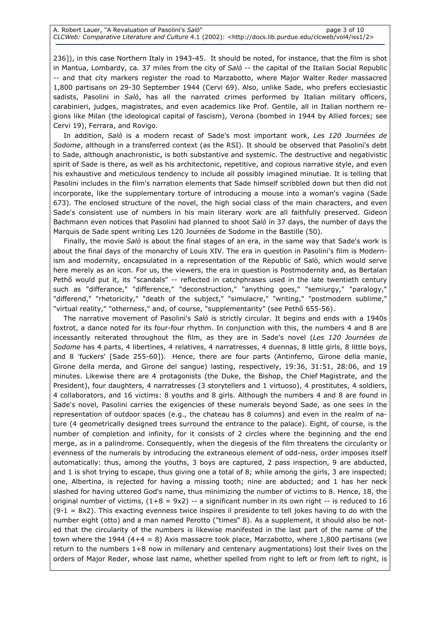236]), in this case Northern Italy in 1943-45. It should be noted, for instance, that the film is shot in Mantua, Lombardy, ca. 37 miles from the city of  $Sab$  -- the capital of the Italian Social Republic -- and that city markers register the road to Marzabotto, where Major Walter Reder massacred 1,800 partisans on 29-30 September 1944 (Cervi 69). Also, unlike Sade, who prefers ecclesiastic sadists, Pasolini in Salò, has all the narrated crimes performed by Italian military officers, carabinieri, judges, magistrates, and even academics like Prof. Gentile, all in Italian northern regions like Milan (the ideological capital of fascism), Verona (bombed in 1944 by Allied forces; see Cervi 19), Ferrara, and Rovigo.

In addition, Salò is a modern recast of Sade's most important work, Les 120 Journées de Sodome, although in a transferred context (as the RSI). It should be observed that Pasolini's debt to Sade, although anachronistic, is both substantive and systemic. The destructive and negativistic spirit of Sade is there, as well as his architectonic, repetitive, and copious narrative style, and even his exhaustive and meticulous tendency to include all possibly imagined minutiae. It is telling that Pasolini includes in the film's narration elements that Sade himself scribbled down but then did not incorporate, like the supplementary torture of introducing a mouse into a woman's vagina (Sade 673). The enclosed structure of the novel, the high social class of the main characters, and even Sade's consistent use of numbers in his main literary work are all faithfully preserved. Gideon Bachmann even notices that Pasolini had planned to shoot Salò in 37 days, the number of days the Marquis de Sade spent writing Les 120 Journées de Sodome in the Bastille (50).

Finally, the movie Salò is about the final stages of an era, in the same way that Sade's work is about the final days of the monarchy of Louis XIV. The era in question in Pasolini's film is Modernism and modernity, encapsulated in a representation of the Republic of Salò, which would serve here merely as an icon. For us, the viewers, the era in question is Postmodernity and, as Bertalan Pethő would put it, its "scandals" -- reflected in catchphrases used in the late twentieth century such as "differance," "difference," "deconstruction," "anything goes," "semiurgy," "paralogy," "differend," "rhetoricity," "death of the subject," "simulacre," "writing," "postmodern sublime," "virtual reality," "otherness," and, of course, "supplementarity" (see Pethő 655-56).

The narrative movement of Pasolini's Salò is strictly circular. It begins and ends with a 1940s foxtrot, a dance noted for its four-four rhythm. In conjunction with this, the numbers 4 and 8 are incessantly reiterated throughout the film, as they are in Sade's novel (Les 120 Journées de Sodome has 4 parts, 4 libertines, 4 relatives, 4 narratresses, 4 duennas, 8 little girls, 8 little boys, and 8 'fuckers' [Sade 255-60]). Hence, there are four parts (Antinferno, Girone della manie, Girone della merda, and Girone del sangue) lasting, respectively, 19:36, 31:51, 28:06, and 19 minutes. Likewise there are 4 protagonists (the Duke, the Bishop, the Chief Magistrate, and the President), four daughters, 4 narratresses (3 storytellers and 1 virtuoso), 4 prostitutes, 4 soldiers, 4 collaborators, and 16 victims: 8 youths and 8 girls. Although the numbers 4 and 8 are found in Sade's novel, Pasolini carries the exigencies of these numerals beyond Sade, as one sees in the representation of outdoor spaces (e.g., the chateau has 8 columns) and even in the realm of nature (4 geometrically designed trees surround the entrance to the palace). Eight, of course, is the number of completion and infinity, for it consists of 2 circles where the beginning and the end merge, as in a palindrome. Consequently, when the diegesis of the film threatens the circularity or evenness of the numerals by introducing the extraneous element of odd-ness, order imposes itself automatically: thus, among the youths, 3 boys are captured, 2 pass inspection, 9 are abducted, and 1 is shot trying to escape, thus giving one a total of 8; while among the girls, 3 are inspected; one, Albertina, is rejected for having a missing tooth; nine are abducted; and 1 has her neck slashed for having uttered God's name, thus minimizing the number of victims to 8. Hence, 18, the original number of victims,  $(1+8 = 9x2)$  -- a significant number in its own right -- is reduced to 16  $(9-1 = 8x2)$ . This exacting evenness twice inspires il presidente to tell jokes having to do with the number eight (otto) and a man named Perotto ("times" 8). As a supplement, it should also be noted that the circularity of the numbers is likewise manifested in the last part of the name of the town where the 1944  $(4+4 = 8)$  Axis massacre took place, Marzabotto, where 1,800 partisans (we return to the numbers 1+8 now in millenary and centenary augmentations) lost their lives on the orders of Major Reder, whose last name, whether spelled from right to left or from left to right, is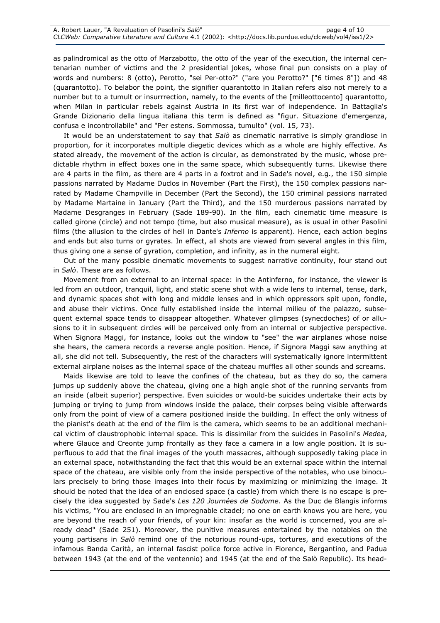as palindromical as the otto of Marzabotto, the otto of the year of the execution, the internal centenarian number of victims and the 2 presidential jokes, whose final pun consists on a play of words and numbers: 8 (otto), Perotto, "sei Per-otto?" ("are you Perotto?" ["6 times 8"]) and 48 (quarantotto). To belabor the point, the signifier quarantotto in Italian refers also not merely to a number but to a tumult or insurrrection, namely, to the events of the [milleottocento] quarantotto, when Milan in particular rebels against Austria in its first war of independence. In Battaglia's Grande Dizionario della lingua italiana this term is defined as "figur. Situazione d'emergenza, confusa e incontrollabile" and "Per estens. Sommossa, tumulto" (vol. 15, 73).

It would be an understatement to say that  $Sal\delta$  as cinematic narrative is simply grandiose in proportion, for it incorporates multiple diegetic devices which as a whole are highly effective. As stated already, the movement of the action is circular, as demonstrated by the music, whose predictable rhythm in effect boxes one in the same space, which subsequently turns. Likewise there are 4 parts in the film, as there are 4 parts in a foxtrot and in Sade's novel, e.g., the 150 simple passions narrated by Madame Duclos in November (Part the First), the 150 complex passions narrated by Madame Champville in December (Part the Second), the 150 criminal passions narrated by Madame Martaine in January (Part the Third), and the 150 murderous passions narrated by Madame Desgranges in February (Sade 189-90). In the film, each cinematic time measure is called girone (circle) and not tempo (time, but also musical measure), as is usual in other Pasolini films (the allusion to the circles of hell in Dante's *Inferno* is apparent). Hence, each action begins and ends but also turns or gyrates. In effect, all shots are viewed from several angles in this film, thus giving one a sense of gyration, completion, and infinity, as in the numeral eight.

Out of the many possible cinematic movements to suggest narrative continuity, four stand out in Salò. These are as follows.

Movement from an external to an internal space: in the Antinferno, for instance, the viewer is led from an outdoor, tranquil, light, and static scene shot with a wide lens to internal, tense, dark, and dynamic spaces shot with long and middle lenses and in which oppressors spit upon, fondle, and abuse their victims. Once fully established inside the internal milieu of the palazzo, subsequent external space tends to disappear altogether. Whatever glimpses (synecdoches) of or allusions to it in subsequent circles will be perceived only from an internal or subjective perspective. When Signora Maggi, for instance, looks out the window to "see" the war airplanes whose noise she hears, the camera records a reverse angle position. Hence, if Signora Maggi saw anything at all, she did not tell. Subsequently, the rest of the characters will systematically ignore intermittent external airplane noises as the internal space of the chateau muffles all other sounds and screams.

Maids likewise are told to leave the confines of the chateau, but as they do so, the camera jumps up suddenly above the chateau, giving one a high angle shot of the running servants from an inside (albeit superior) perspective. Even suicides or would-be suicides undertake their acts by jumping or trying to jump from windows inside the palace, their corpses being visible afterwards only from the point of view of a camera positioned inside the building. In effect the only witness of the pianist's death at the end of the film is the camera, which seems to be an additional mechanical victim of claustrophobic internal space. This is dissimilar from the suicides in Pasolini's Medea, where Glauce and Creonte jump frontally as they face a camera in a low angle position. It is superfluous to add that the final images of the youth massacres, although supposedly taking place in an external space, notwithstanding the fact that this would be an external space within the internal space of the chateau, are visible only from the inside perspective of the notables, who use binoculars precisely to bring those images into their focus by maximizing or minimizing the image. It should be noted that the idea of an enclosed space (a castle) from which there is no escape is precisely the idea suggested by Sade's Les 120 Journées de Sodome. As the Duc de Blangis informs his victims, "You are enclosed in an impregnable citadel; no one on earth knows you are here, you are beyond the reach of your friends, of your kin: insofar as the world is concerned, you are already dead" (Sade 251). Moreover, the punitive measures entertained by the notables on the young partisans in Salò remind one of the notorious round-ups, tortures, and executions of the infamous Banda Carità, an internal fascist police force active in Florence, Bergantino, and Padua between 1943 (at the end of the ventennio) and 1945 (at the end of the Salò Republic). Its head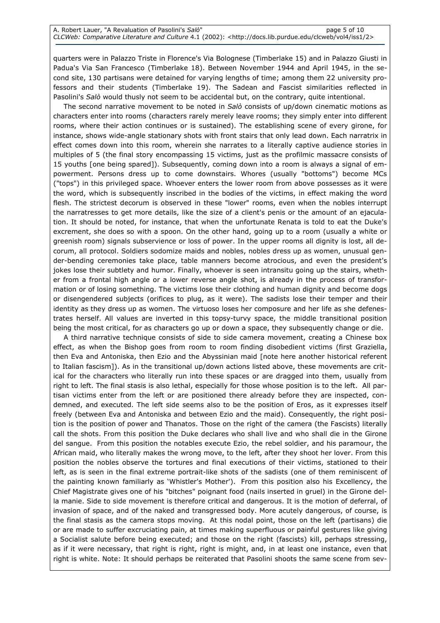quarters were in Palazzo Triste in Florence's Via Bolognese (Timberlake 15) and in Palazzo Giusti in Padua's Via San Francesco (Timberlake 18). Between November 1944 and April 1945, in the second site, 130 partisans were detained for varying lengths of time; among them 22 university professors and their students (Timberlake 19). The Sadean and Fascist similarities reflected in Pasolini's Salò would thusly not seem to be accidental but, on the contrary, quite intentional.

The second narrative movement to be noted in Salò consists of up/down cinematic motions as characters enter into rooms (characters rarely merely leave rooms; they simply enter into different rooms, where their action continues or is sustained). The establishing scene of every girone, for instance, shows wide-angle stationary shots with front stairs that only lead down. Each narratrix in effect comes down into this room, wherein she narrates to a literally captive audience stories in multiples of 5 (the final story encompassing 15 victims, just as the profilmic massacre consists of 15 youths [one being spared]). Subsequently, coming down into a room is always a signal of empowerment. Persons dress up to come downstairs. Whores (usually "bottoms") become MCs ("tops") in this privileged space. Whoever enters the lower room from above possesses as it were the word, which is subsequently inscribed in the bodies of the victims, in effect making the word flesh. The strictest decorum is observed in these "lower" rooms, even when the nobles interrupt the narratresses to get more details, like the size of a client's penis or the amount of an ejaculation. It should be noted, for instance, that when the unfortunate Renata is told to eat the Duke's excrement, she does so with a spoon. On the other hand, going up to a room (usually a white or greenish room) signals subservience or loss of power. In the upper rooms all dignity is lost, all decorum, all protocol. Soldiers sodomize maids and nobles, nobles dress up as women, unusual gender-bending ceremonies take place, table manners become atrocious, and even the president's jokes lose their subtlety and humor. Finally, whoever is seen intransitu going up the stairs, whether from a frontal high angle or a lower reverse angle shot, is already in the process of transformation or of losing something. The victims lose their clothing and human dignity and become dogs or disengendered subjects (orifices to plug, as it were). The sadists lose their temper and their identity as they dress up as women. The virtuoso loses her composure and her life as she defenestrates herself. All values are inverted in this topsy-turvy space, the middle transitional position being the most critical, for as characters go up or down a space, they subsequently change or die.

A third narrative technique consists of side to side camera movement, creating a Chinese box effect, as when the Bishop goes from room to room finding disobedient victims (first Graziella, then Eva and Antoniska, then Ezio and the Abyssinian maid [note here another historical referent to Italian fascism]). As in the transitional up/down actions listed above, these movements are critical for the characters who literally run into these spaces or are dragged into them, usually from right to left. The final stasis is also lethal, especially for those whose position is to the left. All partisan victims enter from the left or are positioned there already before they are inspected, condemned, and executed. The left side seems also to be the position of Eros, as it expresses itself freely (between Eva and Antoniska and between Ezio and the maid). Consequently, the right position is the position of power and Thanatos. Those on the right of the camera (the Fascists) literally call the shots. From this position the Duke declares who shall live and who shall die in the Girone del sangue. From this position the notables execute Ezio, the rebel soldier, and his paramour, the African maid, who literally makes the wrong move, to the left, after they shoot her lover. From this position the nobles observe the tortures and final executions of their victims, stationed to their left, as is seen in the final extreme portrait-like shots of the sadists (one of them reminiscent of the painting known familiarly as 'Whistler's Mother'). From this position also his Excellency, the Chief Magistrate gives one of his "bitches" poignant food (nails inserted in gruel) in the Girone della manie. Side to side movement is therefore critical and dangerous. It is the motion of deferral, of invasion of space, and of the naked and transgressed body. More acutely dangerous, of course, is the final stasis as the camera stops moving. At this nodal point, those on the left (partisans) die or are made to suffer excruciating pain, at times making superfluous or painful gestures like giving a Socialist salute before being executed; and those on the right (fascists) kill, perhaps stressing, as if it were necessary, that right is right, right is might, and, in at least one instance, even that right is white. Note: It should perhaps be reiterated that Pasolini shoots the same scene from sev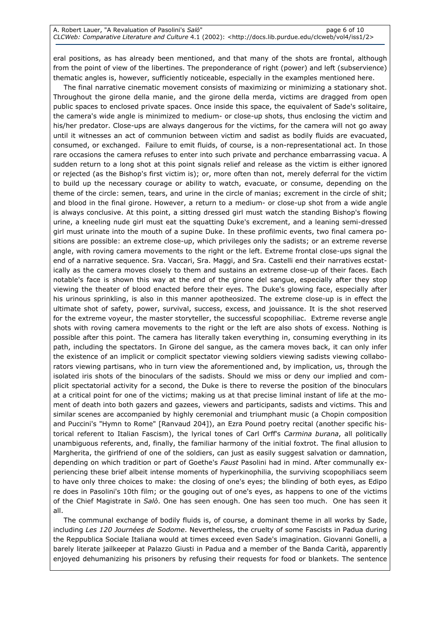eral positions, as has already been mentioned, and that many of the shots are frontal, although from the point of view of the libertines. The preponderance of right (power) and left (subservience) thematic angles is, however, sufficiently noticeable, especially in the examples mentioned here.

The final narrative cinematic movement consists of maximizing or minimizing a stationary shot. Throughout the girone della manie, and the girone della merda, victims are dragged from open public spaces to enclosed private spaces. Once inside this space, the equivalent of Sade's solitaire, the camera's wide angle is minimized to medium- or close-up shots, thus enclosing the victim and his/her predator. Close-ups are always dangerous for the victims, for the camera will not go away until it witnesses an act of communion between victim and sadist as bodily fluids are evacuated, consumed, or exchanged. Failure to emit fluids, of course, is a non-representational act. In those rare occasions the camera refuses to enter into such private and perchance embarrassing vacua. A sudden return to a long shot at this point signals relief and release as the victim is either ignored or rejected (as the Bishop's first victim is); or, more often than not, merely deferral for the victim to build up the necessary courage or ability to watch, evacuate, or consume, depending on the theme of the circle: semen, tears, and urine in the circle of manias; excrement in the circle of shit; and blood in the final girone. However, a return to a medium- or close-up shot from a wide angle is always conclusive. At this point, a sitting dressed girl must watch the standing Bishop's flowing urine, a kneeling nude girl must eat the squatting Duke's excrement, and a leaning semi-dressed girl must urinate into the mouth of a supine Duke. In these profilmic events, two final camera positions are possible: an extreme close-up, which privileges only the sadists; or an extreme reverse angle, with roving camera movements to the right or the left. Extreme frontal close-ups signal the end of a narrative sequence. Sra. Vaccari, Sra. Maggi, and Sra. Castelli end their narratives ecstatically as the camera moves closely to them and sustains an extreme close-up of their faces. Each notable's face is shown this way at the end of the girone del sangue, especially after they stop viewing the theater of blood enacted before their eyes. The Duke's glowing face, especially after his urinous sprinkling, is also in this manner apotheosized. The extreme close-up is in effect the ultimate shot of safety, power, survival, success, excess, and jouissance. It is the shot reserved for the extreme voyeur, the master storyteller, the successful scopophiliac. Extreme reverse angle shots with roving camera movements to the right or the left are also shots of excess. Nothing is possible after this point. The camera has literally taken everything in, consuming everything in its path, including the spectators. In Girone del sangue, as the camera moves back, it can only infer the existence of an implicit or complicit spectator viewing soldiers viewing sadists viewing collaborators viewing partisans, who in turn view the aforementioned and, by implication, us, through the isolated iris shots of the binoculars of the sadists. Should we miss or deny our implied and complicit spectatorial activity for a second, the Duke is there to reverse the position of the binoculars at a critical point for one of the victims; making us at that precise liminal instant of life at the moment of death into both gazers and gazees, viewers and participants, sadists and victims. This and similar scenes are accompanied by highly ceremonial and triumphant music (a Chopin composition and Puccini's "Hymn to Rome" [Ranvaud 204]), an Ezra Pound poetry recital (another specific historical referent to Italian Fascism), the lyrical tones of Carl Orff's Carmina burana, all politically unambiguous referents, and, finally, the familiar harmony of the initial foxtrot. The final allusion to Margherita, the girlfriend of one of the soldiers, can just as easily suggest salvation or damnation, depending on which tradition or part of Goethe's Faust Pasolini had in mind. After communally experiencing these brief albeit intense moments of hyperkinophilia, the surviving scopophiliacs seem to have only three choices to make: the closing of one's eyes; the blinding of both eyes, as Edipo re does in Pasolini's 10th film; or the gouging out of one's eyes, as happens to one of the victims of the Chief Magistrate in Salò. One has seen enough. One has seen too much. One has seen it all.

The communal exchange of bodily fluids is, of course, a dominant theme in all works by Sade, including Les 120 Journées de Sodome. Nevertheless, the cruelty of some Fascists in Padua during the Reppublica Sociale Italiana would at times exceed even Sade's imagination. Giovanni Gonelli, a barely literate jailkeeper at Palazzo Giusti in Padua and a member of the Banda Carità, apparently enjoyed dehumanizing his prisoners by refusing their requests for food or blankets. The sentence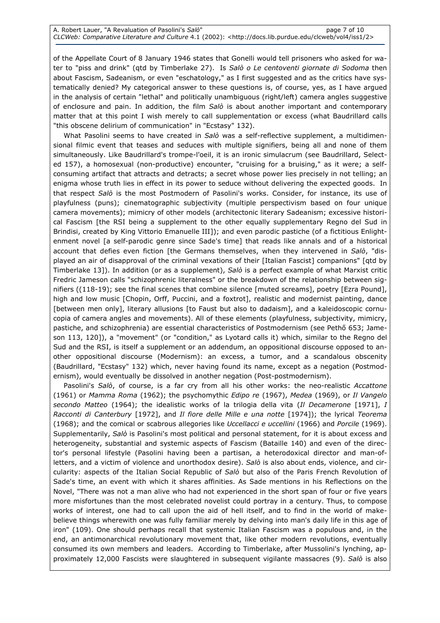of the Appellate Court of 8 January 1946 states that Gonelli would tell prisoners who asked for water to "piss and drink" (qtd by Timberlake 27). Is Salò o Le centoventi giornate di Sodoma then about Fascism, Sadeanism, or even "eschatology," as I first suggested and as the critics have systematically denied? My categorical answer to these questions is, of course, yes, as I have argued in the analysis of certain "lethal" and politically unambiguous (right/left) camera angles suggestive of enclosure and pain. In addition, the film  $Sal\phi$  is about another important and contemporary matter that at this point I wish merely to call supplementation or excess (what Baudrillard calls "this obscene delirium of communication" in "Ecstasy" 132).

What Pasolini seems to have created in Salò was a self-reflective supplement, a multidimensional filmic event that teases and seduces with multiple signifiers, being all and none of them simultaneously. Like Baudrillard's trompe-l'oeil, it is an ironic simulacrum (see Baudrillard, Selected 157), a homosexual (non-productive) encounter, "cruising for a bruising," as it were; a selfconsuming artifact that attracts and detracts; a secret whose power lies precisely in not telling; an enigma whose truth lies in effect in its power to seduce without delivering the expected goods. In that respect Salò is the most Postmodern of Pasolini's works. Consider, for instance, its use of playfulness (puns); cinematographic subjectivity (multiple perspectivism based on four unique camera movements); mimicry of other models (architectonic literary Sadeanism; excessive historical Fascism [the RSI being a supplement to the other equally supplementary Regno del Sud in Brindisi, created by King Vittorio Emanuelle III]); and even parodic pastiche (of a fictitious Enlightenment novel [a self-parodic genre since Sade's time] that reads like annals and of a historical account that defies even fiction [the Germans themselves, when they intervened in Salò, "displayed an air of disapproval of the criminal vexations of their [Italian Fascist] companions" [qtd by Timberlake 13]). In addition (or as a supplement), Salò is a perfect example of what Marxist critic Fredric Jameson calls "schizophrenic literalness" or the breakdown of the relationship between signifiers ((118-19); see the final scenes that combine silence [muted screams], poetry [Ezra Pound], high and low music [Chopin, Orff, Puccini, and a foxtrot], realistic and modernist painting, dance [between men only], literary allusions [to Faust but also to dadaism], and a kaleidoscopic cornucopia of camera angles and movements). All of these elements (playfulness, subjectivity, mimicry, pastiche, and schizophrenia) are essential characteristics of Postmodernism (see Pethő 653; Jameson 113, 120]), a "movement" (or "condition," as Lyotard calls it) which, similar to the Regno del Sud and the RSI, is itself a supplement or an addendum, an oppositional discourse opposed to another oppositional discourse (Modernism): an excess, a tumor, and a scandalous obscenity (Baudrillard, "Ecstasy" 132) which, never having found its name, except as a negation (Postmodernism), would eventually be dissolved in another negation (Post-postmodernism).

Pasolini's Salò, of course, is a far cry from all his other works: the neo-realistic Accattone (1961) or Mamma Roma (1962); the psychomythic Edipo re (1967), Medea (1969), or Il Vangelo secondo Matteo (1964); the idealistic works of la trilogia della vita (Il Decamerone [1971], I Racconti di Canterbury [1972], and Il fiore delle Mille e una notte [1974]); the lyrical Teorema (1968); and the comical or scabrous allegories like Uccellacci e uccellini (1966) and Porcile (1969). Supplementarily, Salò is Pasolini's most political and personal statement, for it is about excess and heterogeneity, substantial and systemic aspects of Fascism (Bataille 140) and even of the director's personal lifestyle (Pasolini having been a partisan, a heterodoxical director and man-ofletters, and a victim of violence and unorthodox desire). Salò is also about ends, violence, and circularity: aspects of the Italian Social Republic of Salò but also of the Paris French Revolution of Sade's time, an event with which it shares affinities. As Sade mentions in his Reflections on the Novel, "There was not a man alive who had not experienced in the short span of four or five years more misfortunes than the most celebrated novelist could portray in a century. Thus, to compose works of interest, one had to call upon the aid of hell itself, and to find in the world of makebelieve things wherewith one was fully familiar merely by delving into man's daily life in this age of iron" (109). One should perhaps recall that systemic Italian Fascism was a populous and, in the end, an antimonarchical revolutionary movement that, like other modern revolutions, eventually consumed its own members and leaders. According to Timberlake, after Mussolini's lynching, approximately 12,000 Fascists were slaughtered in subsequent vigilante massacres (9). Salò is also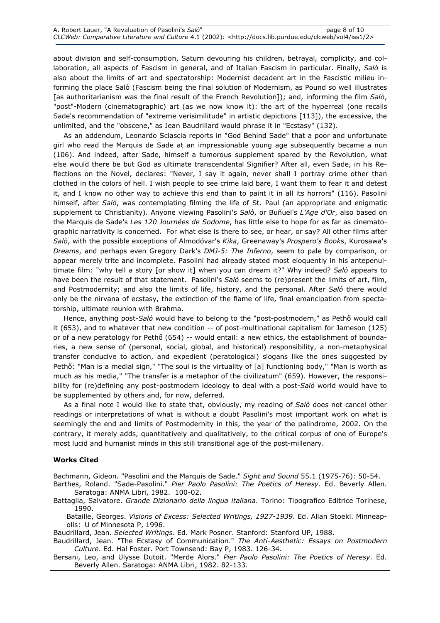about division and self-consumption, Saturn devouring his children, betrayal, complicity, and collaboration, all aspects of Fascism in general, and of Italian Fascism in particular. Finally, Salò is also about the limits of art and spectatorship: Modernist decadent art in the Fascistic milieu informing the place Salò (Fascism being the final solution of Modernism, as Pound so well illustrates [as authoritarianism was the final result of the French Revolution]); and, informing the film Salò, "post"-Modern (cinematographic) art (as we now know it): the art of the hyperreal (one recalls Sade's recommendation of "extreme verisimilitude" in artistic depictions [113]), the excessive, the unlimited, and the "obscene," as Jean Baudrillard would phrase it in "Ecstasy" (132).

As an addendum, Leonardo Sciascia reports in "God Behind Sade" that a poor and unfortunate girl who read the Marquis de Sade at an impressionable young age subsequently became a nun (106). And indeed, after Sade, himself a tumorous supplement spared by the Revolution, what else would there be but God as ultimate transcendental Signifier? After all, even Sade, in his Reflections on the Novel, declares: "Never, I say it again, never shall I portray crime other than clothed in the colors of hell. I wish people to see crime laid bare, I want them to fear it and detest it, and I know no other way to achieve this end than to paint it in all its horrors" (116). Pasolini himself, after Salò, was contemplating filming the life of St. Paul (an appropriate and enigmatic supplement to Christianity). Anyone viewing Pasolini's Salò, or Buñuel's L'Age d'Or, also based on the Marquis de Sade's Les 120 Journées de Sodome, has little else to hope for as far as cinematographic narrativity is concerned. For what else is there to see, or hear, or say? All other films after Salò, with the possible exceptions of Almodóvar's Kika, Greenaway's Prospero's Books, Kurosawa's Dreams, and perhaps even Gregory Dark's DMJ-5: The Inferno, seem to pale by comparison, or appear merely trite and incomplete. Pasolini had already stated most eloquently in his antepenultimate film: "why tell a story [or show it] when you can dream it?" Why indeed? Salò appears to have been the result of that statement. Pasolini's Salò seems to (re)present the limits of art, film, and Postmodernity; and also the limits of life, history, and the personal. After Salò there would only be the nirvana of ecstasy, the extinction of the flame of life, final emancipation from spectatorship, ultimate reunion with Brahma.

Hence, anything post-Salò would have to belong to the "post-postmodern," as Pethő would call it (653), and to whatever that new condition -- of post-multinational capitalism for Jameson (125) or of a new peratology for Pethő (654) -- would entail: a new ethics, the establishment of boundaries, a new sense of (personal, social, global, and historical) responsibility, a non-metaphysical transfer conducive to action, and expedient (peratological) slogans like the ones suggested by Pethő: "Man is a medial sign," "The soul is the virtuality of [a] functioning body," "Man is worth as much as his media," "The transfer is a metaphor of the civilizatum" (659). However, the responsibility for (re)defining any post-postmodern ideology to deal with a post-Salò world would have to be supplemented by others and, for now, deferred.

As a final note I would like to state that, obviously, my reading of Salò does not cancel other readings or interpretations of what is without a doubt Pasolini's most important work on what is seemingly the end and limits of Postmodernity in this, the year of the palindrome, 2002. On the contrary, it merely adds, quantitatively and qualitatively, to the critical corpus of one of Europe's most lucid and humanist minds in this still transitional age of the post-millenary.

## Works Cited

Bachmann, Gideon. "Pasolini and the Marquis de Sade." Sight and Sound 55.1 (1975-76): 50-54.

Barthes, Roland. "Sade-Pasolini." Pier Paolo Pasolini: The Poetics of Heresy. Ed. Beverly Allen. Saratoga: ANMA Libri, 1982. 100-02.

Battaglia, Salvatore. Grande Dizionario della lingua italiana. Torino: Tipografico Editrice Torinese, 1990.

Bataille, Georges. Visions of Excess: Selected Writings, 1927-1939. Ed. Allan Stoekl. Minneapolis: U of Minnesota P, 1996.

Baudrillard, Jean. Selected Writings. Ed. Mark Posner. Stanford: Stanford UP, 1988.

Baudrillard, Jean. "The Ecstasy of Communication." The Anti-Aesthetic: Essays on Postmodern Culture. Ed. Hal Foster. Port Townsend: Bay P, 1983. 126-34.

Bersani, Leo, and Ulysse Dutoit. "Merde Alors." Pier Paolo Pasolini: The Poetics of Heresy. Ed. Beverly Allen. Saratoga: ANMA Libri, 1982. 82-133.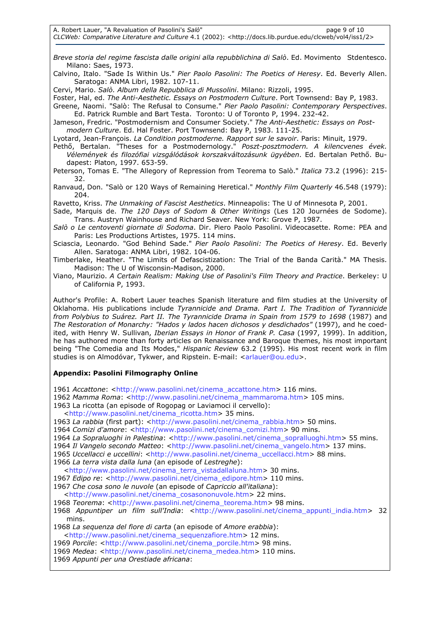A. Robert Lauer, "A Revaluation of Pasolini's Salo" and the control of the page 9 of 10 CLCWeb: Comparative Literature and Culture 4.1 (2002): <http://docs.lib.purdue.edu/clcweb/vol4/iss1/2>

Breve storia del regime fascista dalle origini alla repubblichina di Salò. Ed. Movimento Stdentesco. Milano: Saes, 1973.

Calvino, Italo. "Sade Is Within Us." Pier Paolo Pasolini: The Poetics of Heresy. Ed. Beverly Allen. Saratoga: ANMA Libri, 1982. 107-11.

Cervi, Mario. Salò. Album della Repubblica di Mussolini. Milano: Rizzoli, 1995.

Foster, Hal, ed. The Anti-Aesthetic. Essays on Postmodern Culture. Port Townsend: Bay P, 1983.

Greene, Naomi. "Salò: The Refusal to Consume." Pier Paolo Pasolini: Contemporary Perspectives. Ed. Patrick Rumble and Bart Testa. Toronto: U of Toronto P, 1994. 232-42.

Jameson, Fredric. "Postmodernism and Consumer Society." The Anti-Aesthetic: Essays on Postmodern Culture. Ed. Hal Foster. Port Townsend: Bay P, 1983. 111-25.

Lyotard, Jean-François. La Condition postmoderne. Rapport sur le savoir. Paris: Minuit, 1979.

Pethő, Bertalan. "Theses for a Postmodernology." Poszt-posztmodern. A kilencvenes évek. Vélemények és filozófiai vizsgálódások korszakváltozásunk ügyében. Ed. Bertalan Pethő. Budapest: Platon, 1997. 653-59.

Peterson, Tomas E. "The Allegory of Repression from Teorema to Salò." Italica 73.2 (1996): 215-32.

Ranvaud, Don. "Salò or 120 Ways of Remaining Heretical." Monthly Film Quarterly 46.548 (1979): 204.

Ravetto, Kriss. The Unmaking of Fascist Aesthetics. Minneapolis: The U of Minnesota P, 2001.

Sade, Marquis de. The 120 Days of Sodom & Other Writings (Les 120 Journées de Sodome). Trans. Austryn Wainhouse and Richard Seaver. New York: Grove P, 1987.

- Salò o Le centoventi giornate di Sodoma. Dir. Piero Paolo Pasolini. Videocasette. Rome: PEA and Paris: Les Productions Artistes, 1975. 114 mins.
- Sciascia, Leonardo. "God Behind Sade." Pier Paolo Pasolini: The Poetics of Heresy. Ed. Beverly Allen. Saratoga: ANMA Libri, 1982. 104-06.
- Timberlake, Heather. "The Limits of Defascistization: The Trial of the Banda Carità." MA Thesis. Madison: The U of Wisconsin-Madison, 2000.

Viano, Maurizio. A Certain Realism: Making Use of Pasolini's Film Theory and Practice. Berkeley: U of California P, 1993.

Author's Profile: A. Robert Lauer teaches Spanish literature and film studies at the University of Oklahoma. His publications include Tyrannicide and Drama. Part I. The Tradition of Tyrannicide from Polybius to Suárez. Part II. The Tyrannicide Drama in Spain from 1579 to 1698 (1987) and The Restoration of Monarchy: "Hados y lados hacen dichosos y desdichados" (1997), and he coedited, with Henry W. Sullivan, Iberian Essays in Honor of Frank P. Casa (1997, 1999). In addition, he has authored more than forty articles on Renaissance and Baroque themes, his most important being "The Comedia and Its Modes," Hispanic Review 63.2 (1995). His most recent work in film studies is on Almodóvar, Tykwer, and Ripstein. E-mail: <arlauer@ou.edu>.

## Appendix: Pasolini Filmography Online

1961 Accattone: <http://www.pasolini.net/cinema\_accattone.htm> 116 mins.

- 1962 Mamma Roma: <http://www.pasolini.net/cinema\_mammaroma.htm> 105 mins.
- 1963 La ricotta (an episode of Rogopag or Laviamoci il cervello):
	- <http://www.pasolini.net/cinema\_ricotta.htm> 35 mins.
- 1963 La rabbia (first part): <http://www.pasolini.net/cinema\_rabbia.htm> 50 mins.
- 1964 Comizi d'amore: <http://www.pasolini.net/cinema\_comizi.htm> 90 mins.
- 1964 La Sopraluoghi in Palestina: <http://www.pasolini.net/cinema\_sopralluoghi.htm> 55 mins.

1964 Il Vangelo secondo Matteo: <http://www.pasolini.net/cinema\_vangelo.htm> 137 mins.

1965 Uccellacci e uccellini: <http://www.pasolini.net/cinema\_uccellacci.htm> 88 mins.

1966 La terra vista dalla luna (an episode of Lestreghe):

<http://www.pasolini.net/cinema\_terra\_vistadallaluna.htm> 30 mins.

1967 Edipo re: <http://www.pasolini.net/cinema\_edipore.htm> 110 mins.

1967 Che cosa sono le nuvole (an episode of Capriccio all'italiana):

<http://www.pasolini.net/cinema\_cosasononuvole.htm> 22 mins.

1968 Teorema: <http://www.pasolini.net/cinema\_teorema.htm> 98 mins.

1968 Appuntiper un film sull'India: <http://www.pasolini.net/cinema\_appunti\_india.htm> 32 mins.

1968 La sequenza del fiore di carta (an episode of Amore erabbia):

<http://www.pasolini.net/cinema\_sequenzafiore.htm> 12 mins.

1969 Porcile: <http://www.pasolini.net/cinema\_porcile.htm> 98 mins.

1969 Medea: <http://www.pasolini.net/cinema\_medea.htm> 110 mins.

1969 Appunti per una Orestiade africana: